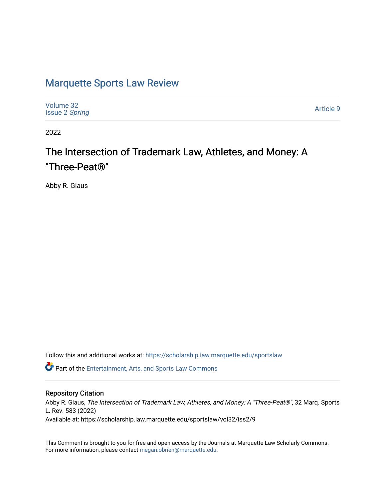# [Marquette Sports Law Review](https://scholarship.law.marquette.edu/sportslaw)

| Volume 32<br><b>Issue 2 Spring</b> | Article 9 |
|------------------------------------|-----------|
|------------------------------------|-----------|

2022

# The Intersection of Trademark Law, Athletes, and Money: A "Three-Peat®"

Abby R. Glaus

Follow this and additional works at: [https://scholarship.law.marquette.edu/sportslaw](https://scholarship.law.marquette.edu/sportslaw?utm_source=scholarship.law.marquette.edu%2Fsportslaw%2Fvol32%2Fiss2%2F9&utm_medium=PDF&utm_campaign=PDFCoverPages) 

Part of the [Entertainment, Arts, and Sports Law Commons](https://network.bepress.com/hgg/discipline/893?utm_source=scholarship.law.marquette.edu%2Fsportslaw%2Fvol32%2Fiss2%2F9&utm_medium=PDF&utm_campaign=PDFCoverPages)

### Repository Citation

Abby R. Glaus, The Intersection of Trademark Law, Athletes, and Money: A "Three-Peat®", 32 Marq. Sports L. Rev. 583 (2022) Available at: https://scholarship.law.marquette.edu/sportslaw/vol32/iss2/9

This Comment is brought to you for free and open access by the Journals at Marquette Law Scholarly Commons. For more information, please contact [megan.obrien@marquette.edu](mailto:megan.obrien@marquette.edu).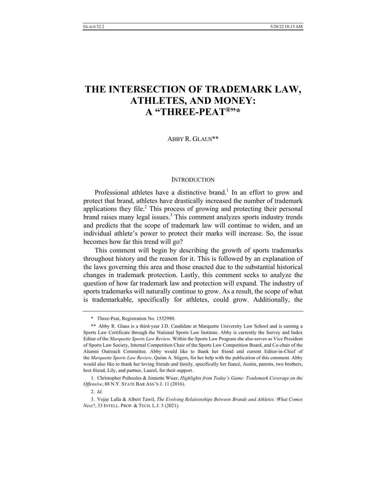# **THE INTERSECTION OF TRADEMARK LAW, ATHLETES, AND MONEY: A "THREE-PEAT®"\***

ABBY R. GLAUS\*\*

#### **INTRODUCTION**

Professional athletes have a distinctive brand.<sup>1</sup> In an effort to grow and protect that brand, athletes have drastically increased the number of trademark applications they file.<sup>2</sup> This process of growing and protecting their personal brand raises many legal issues.<sup>3</sup> This comment analyzes sports industry trends and predicts that the scope of trademark law will continue to widen, and an individual athlete's power to protect their marks will increase. So, the issue becomes how far this trend will go?

This comment will begin by describing the growth of sports trademarks throughout history and the reason for it. This is followed by an explanation of the laws governing this area and those enacted due to the substantial historical changes in trademark protection. Lastly, this comment seeks to analyze the question of how far trademark law and protection will expand. The industry of sports trademarks will naturally continue to grow. As a result, the scope of what is trademarkable, specifically for athletes, could grow. Additionally, the

<sup>\*</sup> Three-Peat, Registration No. 1552980.

<sup>\*\*</sup> Abby R. Glaus is a third-year J.D. Candidate at Marquette University Law School and is earning a Sports Law Certificate through the National Sports Law Institute. Abby is currently the Survey and Index Editor of the *Marquette Sports Law Review*. Within the Sports Law Program she also serves as Vice President of Sports Law Society, Internal Competition Chair of the Sports Law Competition Board, and Co-chair of the Alumni Outreach Committee. Abby would like to thank her friend and current Editor-in-Chief of the *Marquette Sports Law Review*, Quinn A. Stigers, for her help with the publication of this comment. Abby would also like to thank her loving friends and family, specifically her fiancé, Austin, parents, two brothers, best friend, Lily, and partner, Laurel, for their support.

<sup>1.</sup> Christopher Psihoules & Jennette Wiser, *Highlights from Today's Game: Trademark Coverage on the Offensive*, 88 N.Y. STATE BAR ASS'N J. 11 (2016).

<sup>2</sup>*. Id.*

<sup>3.</sup> Vejay Lalla & Albert Tawil, *The Evolving Relationships Between Brands and Athletes: What Comes Next?*, 33 INTELL. PROP. & TECH. L.J. 3 (2021).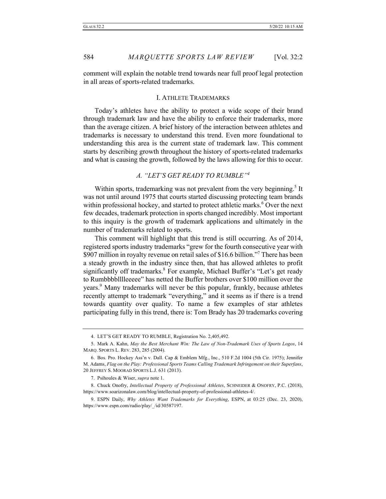comment will explain the notable trend towards near full proof legal protection in all areas of sports-related trademarks.

#### I. ATHLETE TRADEMARKS

Today's athletes have the ability to protect a wide scope of their brand through trademark law and have the ability to enforce their trademarks, more than the average citizen. A brief history of the interaction between athletes and trademarks is necessary to understand this trend. Even more foundational to understanding this area is the current state of trademark law. This comment starts by describing growth throughout the history of sports-related trademarks and what is causing the growth, followed by the laws allowing for this to occur.

### *A. "LET'S GET READY TO RUMBLE"4*

Within sports, trademarking was not prevalent from the very beginning.<sup>5</sup> It was not until around 1975 that courts started discussing protecting team brands within professional hockey, and started to protect athletic marks.<sup>6</sup> Over the next few decades, trademark protection in sports changed incredibly. Most important to this inquiry is the growth of trademark applications and ultimately in the number of trademarks related to sports.

This comment will highlight that this trend is still occurring. As of 2014, registered sports industry trademarks "grew for the fourth consecutive year with \$907 million in royalty revenue on retail sales of \$16.6 billion."<sup>7</sup> There has been a steady growth in the industry since then, that has allowed athletes to profit significantly off trademarks.<sup>8</sup> For example, Michael Buffer's "Let's get ready to Rumbbbblllleeeee" has netted the Buffer brothers over \$100 million over the years.<sup>9</sup> Many trademarks will never be this popular, frankly, because athletes recently attempt to trademark "everything," and it seems as if there is a trend towards quantity over quality. To name a few examples of star athletes participating fully in this trend, there is: Tom Brady has 20 trademarks covering

<sup>4.</sup> LET'S GET READY TO RUMBLE, Registration No. 2,405,492.

<sup>5.</sup> Mark A. Kahn, *May the Best Merchant Win: The Law of Non-Trademark Uses of Sports Logos*, 14 MARQ. SPORTS L. REV. 283, 285 (2004).

<sup>6.</sup> Bos. Pro. Hockey Ass'n v. Dall. Cap & Emblem Mfg., Inc., 510 F.2d 1004 (5th Cir. 1975); Jennifer M. Adams, *Flag on the Play: Professional Sports Teams Calling Trademark Infringement on their Superfans*, 20 JEFFREY S. MOORAD SPORTS L.J. 631 (2013).

<sup>7.</sup> Psihoules & Wiser, *supra* note 1.

<sup>8.</sup> Chuck Onofry, *Intellectual Property of Professional Athletes*, SCHNEIDER & ONOFRY, P.C. (2018), https://www.soarizonalaw.com/blog/intellectual-property-of-professional-athletes-4/.

<sup>9.</sup> ESPN Daily, *Why Athletes Want Trademarks for Everything*, ESPN, at 03:25 (Dec. 23, 2020), https://www.espn.com/radio/play/\_/id/30587197.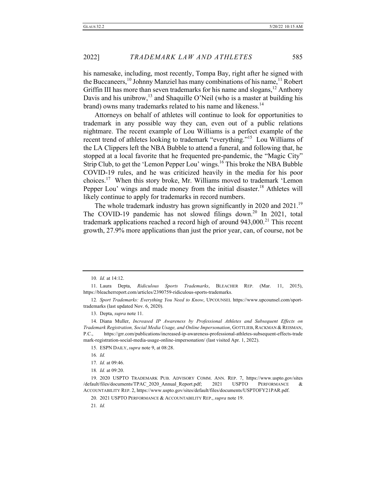his namesake, including, most recently, Tompa Bay, right after he signed with the Buccaneers, <sup>10</sup> Johnny Manziel has many combinations of his name, <sup>11</sup> Robert Griffin III has more than seven trademarks for his name and slogans,<sup>12</sup> Anthony Davis and his unibrow,<sup>13</sup> and Shaquille O'Neil (who is a master at building his brand) owns many trademarks related to his name and likeness.<sup>14</sup>

Attorneys on behalf of athletes will continue to look for opportunities to trademark in any possible way they can, even out of a public relations nightmare. The recent example of Lou Williams is a perfect example of the recent trend of athletes looking to trademark "everything."<sup>15</sup> Lou Williams of the LA Clippers left the NBA Bubble to attend a funeral, and following that, he stopped at a local favorite that he frequented pre-pandemic, the "Magic City" Strip Club, to get the 'Lemon Pepper Lou' wings.<sup>16</sup> This broke the NBA Bubble COVID-19 rules, and he was criticized heavily in the media for his poor choices.17 When this story broke, Mr. Williams moved to trademark 'Lemon Pepper Lou' wings and made money from the initial disaster.<sup>18</sup> Athletes will likely continue to apply for trademarks in record numbers.

The whole trademark industry has grown significantly in 2020 and 2021.<sup>19</sup> The COVID-19 pandemic has not slowed filings down.<sup>20</sup> In 2021, total trademark applications reached a record high of around  $943,000$ <sup>21</sup>. This recent growth, 27.9% more applications than just the prior year, can, of course, not be

13. Depta, *supra* note 11.

16*. Id.*

21*. Id.*

<sup>10</sup>*. Id.* at 14:12.

<sup>11.</sup> Laura Depta, *Ridiculous Sports Trademarks*, BLEACHER REP. (Mar. 11, 2015), https://bleacherreport.com/articles/2390759-ridiculous-sports-trademarks.

<sup>12</sup>*. Sport Trademarks: Everything You Need to Know*, UPCOUNSEL https://www.upcounsel.com/sporttrademarks (last updated Nov. 6, 2020).

<sup>14.</sup> Diana Muller, *Increased IP Awareness by Professional Athletes and Subsequent Effects on Trademark Registration, Social Media Usage, and Online Impersonation*, GOTTLIEB, RACKMAN & REISMAN, P.C., https://grr.com/publications/increased-ip-awareness-professional-athletes-subsequent-effects-trade mark-registration-social-media-usage-online-impersonation/ (last visited Apr. 1, 2022).

<sup>15.</sup> ESPN DAILY, *supra* note 9, at 08:28.

<sup>17</sup>*. Id.* at 09:46.

<sup>18</sup>*. Id.* at 09:20.

<sup>19.</sup> 2020 USPTO TRADEMARK PUB. ADVISORY COMM. ANN. REP. 7, https://www.uspto.gov/sites /default/files/documents/TPAC\_2020\_Annual\_Report.pdf; 2021 USPTO PERFORMANCE & ACCOUNTABILITY REP. 2, https://www.uspto.gov/sites/default/files/documents/USPTOFY21PAR.pdf.

<sup>20.</sup> 2021 USPTO PERFORMANCE & ACCOUNTABILITY REP., *supra* note 19.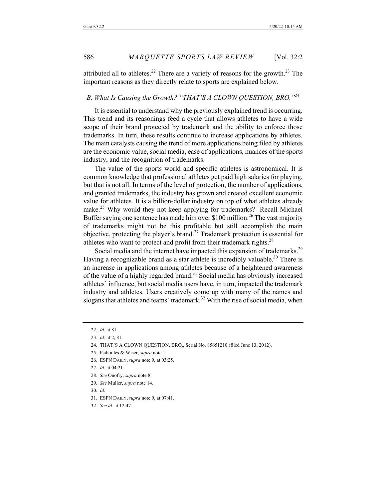attributed all to athletes.<sup>22</sup> There are a variety of reasons for the growth.<sup>23</sup> The important reasons as they directly relate to sports are explained below.

#### *B. What Is Causing the Growth? "THAT'S A CLOWN QUESTION, BRO."24*

It is essential to understand why the previously explained trend is occurring. This trend and its reasonings feed a cycle that allows athletes to have a wide scope of their brand protected by trademark and the ability to enforce those trademarks. In turn, these results continue to increase applications by athletes. The main catalysts causing the trend of more applications being filed by athletes are the economic value, social media, ease of applications, nuances of the sports industry, and the recognition of trademarks.

The value of the sports world and specific athletes is astronomical. It is common knowledge that professional athletes get paid high salaries for playing, but that is not all. In terms of the level of protection, the number of applications, and granted trademarks, the industry has grown and created excellent economic value for athletes. It is a billion-dollar industry on top of what athletes already make.<sup>25</sup> Why would they not keep applying for trademarks? Recall Michael Buffer saying one sentence has made him over \$100 million.<sup>26</sup> The vast majority of trademarks might not be this profitable but still accomplish the main objective, protecting the player's brand.<sup>27</sup> Trademark protection is essential for athletes who want to protect and profit from their trademark rights.<sup>28</sup>

Social media and the internet have impacted this expansion of trademarks.<sup>29</sup> Having a recognizable brand as a star athlete is incredibly valuable.<sup>30</sup> There is an increase in applications among athletes because of a heightened awareness of the value of a highly regarded brand.<sup>31</sup> Social media has obviously increased athletes' influence, but social media users have, in turn, impacted the trademark industry and athletes. Users creatively come up with many of the names and slogans that athletes and teams' trademark.<sup>32</sup> With the rise of social media, when

- 29*. See* Muller, *supra* note 14.
- 30*. Id.*

<sup>22</sup>*. Id.* at 81.

<sup>23</sup>*. Id.* at 2, 81.

<sup>24.</sup> THAT'S A CLOWN QUESTION, BRO., Serial No. 85651210 (filed June 13, 2012).

<sup>25.</sup> Psihoules & Wiser, *supra* note 1.

<sup>26.</sup> ESPN DAILY, *supra* note 9, at 03:25.

<sup>27</sup>*. Id.* at 04:21.

<sup>28</sup>*. See* Onofry, *supra* note 8.

<sup>31.</sup> ESPN DAILY, *supra* note 9, at 07:41.

<sup>32</sup>*. See id.* at 12:47.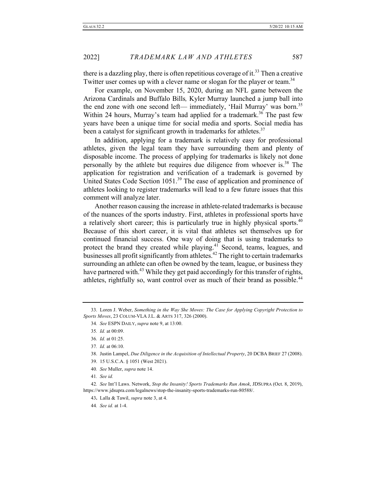there is a dazzling play, there is often repetitious coverage of it.<sup>33</sup> Then a creative Twitter user comes up with a clever name or slogan for the player or team.<sup>34</sup>

For example, on November 15, 2020, during an NFL game between the Arizona Cardinals and Buffalo Bills*,* Kyler Murray launched a jump ball into the end zone with one second left— immediately, 'Hail Murray' was born.<sup>35</sup> Within 24 hours, Murray's team had applied for a trademark.<sup>36</sup> The past few years have been a unique time for social media and sports. Social media has been a catalyst for significant growth in trademarks for athletes.<sup>37</sup>

In addition, applying for a trademark is relatively easy for professional athletes, given the legal team they have surrounding them and plenty of disposable income. The process of applying for trademarks is likely not done personally by the athlete but requires due diligence from whoever is.<sup>38</sup> The application for registration and verification of a trademark is governed by United States Code Section  $1051<sup>39</sup>$  The ease of application and prominence of athletes looking to register trademarks will lead to a few future issues that this comment will analyze later.

Another reason causing the increase in athlete-related trademarks is because of the nuances of the sports industry. First, athletes in professional sports have a relatively short career; this is particularly true in highly physical sports.<sup>40</sup> Because of this short career, it is vital that athletes set themselves up for continued financial success. One way of doing that is using trademarks to protect the brand they created while playing.<sup>41</sup> Second, teams, leagues, and businesses all profit significantly from athletes.<sup>42</sup> The right to certain trademarks surrounding an athlete can often be owned by the team, league, or business they have partnered with.<sup>43</sup> While they get paid accordingly for this transfer of rights, athletes, rightfully so, want control over as much of their brand as possible.<sup>44</sup>

<sup>33.</sup> Loren J. Weber, *Something in the Way She Moves: The Case for Applying Copyright Protection to Sports Moves*, 23 COLUM-VLA J.L. & ARTS 317, 326 (2000).

<sup>34</sup>*. See* ESPN DAILY, *supra* note 9, at 13:00.

<sup>35</sup>*. Id.* at 00:09.

<sup>36</sup>*. Id.* at 01:25.

<sup>37</sup>*. Id.* at 06:10.

<sup>38.</sup> Justin Lampel, *Due Diligence in the Acquisition of Intellectual Property*, 20 DCBA BRIEF 27 (2008).

<sup>39.</sup> 15 U.S.C.A. § 1051 (West 2021).

<sup>40</sup>*. See* Muller, *supra* note 14.

<sup>41</sup>*. See id.*

<sup>42</sup>*. See* Int'l Laws. Network, *Stop the Insanity! Sports Trademarks Run Amok*, JDSUPRA (Oct. 8, 2019), https://www.jdsupra.com/legalnews/stop-the-insanity-sports-trademarks-run-80588/.

<sup>43</sup>**.** Lalla & Tawil, *supra* note 3, at 4.

<sup>44</sup>*. See id.* at 1-4.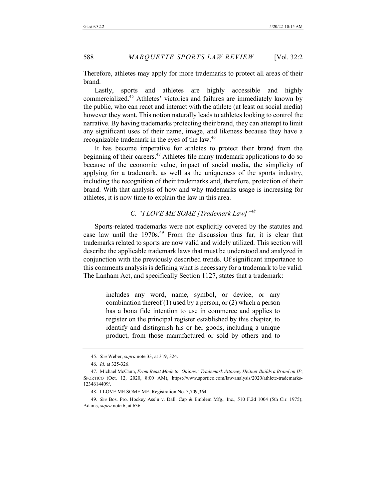Therefore, athletes may apply for more trademarks to protect all areas of their brand.

Lastly, sports and athletes are highly accessible and highly commercialized.45 Athletes' victories and failures are immediately known by the public, who can react and interact with the athlete (at least on social media) however they want. This notion naturally leads to athletes looking to control the narrative. By having trademarks protecting their brand, they can attempt to limit any significant uses of their name, image, and likeness because they have a recognizable trademark in the eyes of the law.<sup>46</sup>

It has become imperative for athletes to protect their brand from the beginning of their careers.<sup>47</sup> Athletes file many trademark applications to do so because of the economic value, impact of social media, the simplicity of applying for a trademark, as well as the uniqueness of the sports industry, including the recognition of their trademarks and, therefore, protection of their brand. With that analysis of how and why trademarks usage is increasing for athletes, it is now time to explain the law in this area.

#### *C. "I LOVE ME SOME [Trademark Law]"48*

Sports-related trademarks were not explicitly covered by the statutes and case law until the 1970s.<sup>49</sup> From the discussion thus far, it is clear that trademarks related to sports are now valid and widely utilized. This section will describe the applicable trademark laws that must be understood and analyzed in conjunction with the previously described trends. Of significant importance to this comments analysis is defining what is necessary for a trademark to be valid. The Lanham Act, and specifically Section 1127, states that a trademark:

> includes any word, name, symbol, or device, or any combination thereof  $(1)$  used by a person, or  $(2)$  which a person has a bona fide intention to use in commerce and applies to register on the principal register established by this chapter, to identify and distinguish his or her goods, including a unique product, from those manufactured or sold by others and to

<sup>45</sup>*. See* Weber, *supra* note 33, at 319, 324.

<sup>46</sup>*. Id.* at 325-326.

<sup>47.</sup> Michael McCann, *From Beast Mode to 'Onions:' Trademark Attorney Heitner Builds a Brand on IP*, SPORTICO (Oct. 12, 2020, 8:00 AM), https://www.sportico.com/law/analysis/2020/athlete-trademarks-1234614409/.

<sup>48.</sup> I LOVE ME SOME ME, Registration No. 3,709,364.

<sup>49</sup>*. See* Bos. Pro. Hockey Ass'n v. Dall. Cap & Emblem Mfg., Inc., 510 F.2d 1004 (5th Cir. 1975); Adams, *supra* note 6, at 636.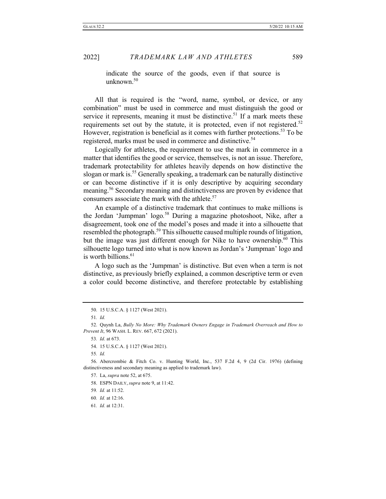indicate the source of the goods, even if that source is unknown.<sup>50</sup>

All that is required is the "word, name, symbol, or device, or any combination" must be used in commerce and must distinguish the good or service it represents, meaning it must be distinctive.<sup>51</sup> If a mark meets these requirements set out by the statute, it is protected, even if not registered.<sup>52</sup> However, registration is beneficial as it comes with further protections.<sup>53</sup> To be registered, marks must be used in commerce and distinctive.<sup>54</sup>

Logically for athletes, the requirement to use the mark in commerce in a matter that identifies the good or service, themselves, is not an issue. Therefore, trademark protectability for athletes heavily depends on how distinctive the slogan or mark is.<sup>55</sup> Generally speaking, a trademark can be naturally distinctive or can become distinctive if it is only descriptive by acquiring secondary meaning.<sup>56</sup> Secondary meaning and distinctiveness are proven by evidence that consumers associate the mark with the athlete.<sup>57</sup>

An example of a distinctive trademark that continues to make millions is the Jordan 'Jumpman' logo*.* <sup>58</sup> During a magazine photoshoot, Nike, after a disagreement, took one of the model's poses and made it into a silhouette that resembled the photograph.<sup>59</sup> This silhouette caused multiple rounds of litigation, but the image was just different enough for Nike to have ownership.<sup>60</sup> This silhouette logo turned into what is now known as Jordan's 'Jumpman' logo and is worth billions. $61$ 

A logo such as the 'Jumpman' is distinctive. But even when a term is not distinctive, as previously briefly explained, a common descriptive term or even a color could become distinctive, and therefore protectable by establishing

55*. Id.*

<sup>50.</sup> 15 U.S.C.A. § 1127 (West 2021).

<sup>51</sup>*. Id.*

<sup>52.</sup> Quynh La, *Bully No More: Why Trademark Owners Engage in Trademark Overreach and How to Prevent It*, 96 WASH. L. REV. 667, 672 (2021).

<sup>53</sup>*. Id*. at 673.

<sup>54.</sup> 15 U.S.C.A. § 1127 (West 2021).

<sup>56.</sup> Abercrombie & Fitch Co. v. Hunting World, Inc., 537 F.2d 4, 9 (2d Cir. 1976) (defining distinctiveness and secondary meaning as applied to trademark law).

<sup>57.</sup> La, *supra* note 52, at 675.

<sup>58.</sup> ESPN DAILY, *supra* note 9, at 11:42.

<sup>59</sup>*. Id.* at 11:52.

<sup>60</sup>*. Id.* at 12:16.

<sup>61</sup>*. Id.* at 12:31.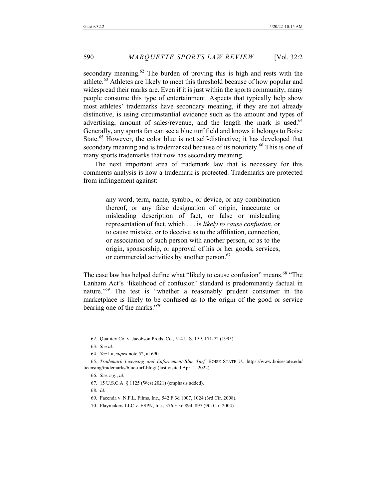secondary meaning.<sup>62</sup> The burden of proving this is high and rests with the athlete.<sup>63</sup> Athletes are likely to meet this threshold because of how popular and widespread their marks are. Even if it is just within the sports community, many people consume this type of entertainment. Aspects that typically help show most athletes' trademarks have secondary meaning, if they are not already distinctive, is using circumstantial evidence such as the amount and types of advertising, amount of sales/revenue, and the length the mark is used.<sup>64</sup> Generally, any sports fan can see a blue turf field and knows it belongs to Boise State.<sup>65</sup> However, the color blue is not self-distinctive; it has developed that secondary meaning and is trademarked because of its notoriety.<sup>66</sup> This is one of many sports trademarks that now has secondary meaning.

The next important area of trademark law that is necessary for this comments analysis is how a trademark is protected. Trademarks are protected from infringement against:

> any word, term, name, symbol, or device, or any combination thereof, or any false designation of origin, inaccurate or misleading description of fact, or false or misleading representation of fact, which . . . is *likely to cause confusion*, or to cause mistake, or to deceive as to the affiliation, connection, or association of such person with another person, or as to the origin, sponsorship, or approval of his or her goods, services, or commercial activities by another person.<sup>67</sup>

The case law has helped define what "likely to cause confusion" means.<sup>68</sup> "The Lanham Act's 'likelihood of confusion' standard is predominantly factual in nature."69 The test is "whether a reasonably prudent consumer in the marketplace is likely to be confused as to the origin of the good or service bearing one of the marks."70

<sup>62.</sup> Qualitex Co. v. Jacobson Prods. Co., 514 U.S. 159, 171-72 (1995).

<sup>63</sup>*. See id.*

<sup>64</sup>*. See* La, *supra* note 52, at 690.

<sup>65</sup>*. Trademark Licensing and Enforcement-Blue Turf,* BOISE STATE U., https://www.boisestate.edu/ licensing/trademarks/blue-turf-blog/ (last visited Apr. 1, 2022).

<sup>66</sup>*. See, e.g.*, *id.*

<sup>67.</sup> 15 U.S.C.A. § 1125 (West 2021) (emphasis added).

<sup>68</sup>*. Id.*

<sup>69.</sup> Facenda v. N.F.L. Films, Inc., 542 F.3d 1007, 1024 (3rd Cir. 2008).

<sup>70.</sup> Playmakers LLC v. ESPN, Inc., 376 F.3d 894, 897 (9th Cir. 2004).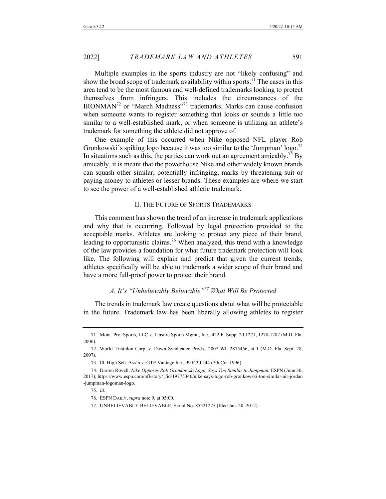Multiple examples in the sports industry are not "likely confusing" and show the broad scope of trademark availability within sports.<sup>71</sup> The cases in this area tend to be the most famous and well-defined trademarks looking to protect themselves from infringers. This includes the circumstances of the IRONMAN72 or "March Madness"<sup>73</sup> trademarks. Marks can cause confusion when someone wants to register something that looks or sounds a little too similar to a well-established mark, or when someone is utilizing an athlete's trademark for something the athlete did not approve of.

One example of this occurred when Nike opposed NFL player Rob Gronkowski's spiking logo because it was too similar to the 'Jumpman' logo.<sup>74</sup> In situations such as this, the parties can work out an agreement amicably.<sup>75</sup> By amicably, it is meant that the powerhouse Nike and other widely known brands can squash other similar, potentially infringing, marks by threatening suit or paying money to athletes or lesser brands. These examples are where we start to see the power of a well-established athletic trademark.

#### II. THE FUTURE OF SPORTS TRADEMARKS

This comment has shown the trend of an increase in trademark applications and why that is occurring. Followed by legal protection provided to the acceptable marks. Athletes are looking to protect any piece of their brand, leading to opportunistic claims.<sup>76</sup> When analyzed, this trend with a knowledge of the law provides a foundation for what future trademark protection will look like. The following will explain and predict that given the current trends, athletes specifically will be able to trademark a wider scope of their brand and have a more full-proof power to protect their brand.

# *A. It's "Unbelievably Believable"77 What Will Be Protected*

The trends in trademark law create questions about what will be protectable in the future. Trademark law has been liberally allowing athletes to register

<sup>71.</sup> Mont. Pro. Sports, LLC v. Leisure Sports Mgmt., Inc., 422 F. Supp. 2d 1271, 1278-1282 (M.D. Fla. 2006).

<sup>72.</sup> World Triathlon Corp. v. Dawn Syndicated Prods., 2007 WL 2875456, at 1 (M.D. Fla. Sept. 28, 2007).

<sup>73.</sup> Ill. High Sch. Ass'n v. GTE Vantage Inc., 99 F.3d 244 (7th Cir. 1996).

<sup>74.</sup> Darren Rovell, *Nike Opposes Rob Gronkowski Logo, Says Too Similar to Jumpman*, ESPN (June 30, 2017), https://www.espn.com/nfl/story/\_/id/19775346/nike-says-logo-rob-gronkowski-too-similar-air-jordan -jumpman-logoman-logo.

<sup>75</sup>*. Id.*

<sup>76.</sup> ESPN DAILY, *supra* note 9, at 05:00.

<sup>77.</sup> UNBELIEVABLY BELIEVABLE, Serial No. 85521225 (filed Jan. 20, 2012).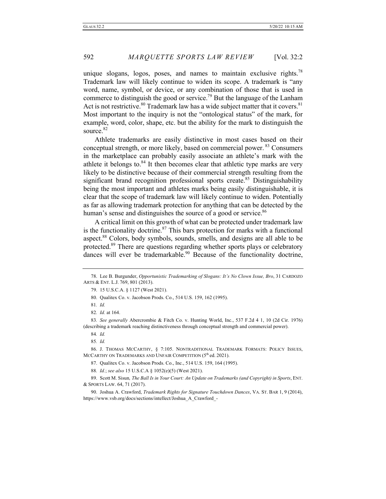unique slogans, logos, poses, and names to maintain exclusive rights. $78$ Trademark law will likely continue to widen its scope. A trademark is "any word, name, symbol, or device, or any combination of those that is used in commerce to distinguish the good or service.<sup>79</sup> But the language of the Lanham Act is not restrictive.<sup>80</sup> Trademark law has a wide subject matter that it covers.<sup>81</sup> Most important to the inquiry is not the "ontological status" of the mark, for example, word, color, shape, etc. but the ability for the mark to distinguish the source.<sup>82</sup>

Athlete trademarks are easily distinctive in most cases based on their conceptual strength, or more likely, based on commercial power. <sup>83</sup> Consumers in the marketplace can probably easily associate an athlete's mark with the athlete it belongs to. $84$  It then becomes clear that athletic type marks are very likely to be distinctive because of their commercial strength resulting from the significant brand recognition professional sports create.<sup>85</sup> Distinguishability being the most important and athletes marks being easily distinguishable, it is clear that the scope of trademark law will likely continue to widen. Potentially as far as allowing trademark protection for anything that can be detected by the human's sense and distinguishes the source of a good or service.<sup>86</sup>

A critical limit on this growth of what can be protected under trademark law is the functionality doctrine.<sup>87</sup> This bars protection for marks with a functional aspect.<sup>88</sup> Colors, body symbols, sounds, smells, and designs are all able to be protected.<sup>89</sup> There are questions regarding whether sports plays or celebratory dances will ever be trademarkable.<sup>90</sup> Because of the functionality doctrine,

83*. See generally* Abercrombie & Fitch Co. v. Hunting World, Inc., 537 F.2d 4 1, 10 (2d Cir. 1976) (describing a trademark reaching distinctiveness through conceptual strength and commercial power).

<sup>78.</sup> Lee B. Burgunder, *Opportunistic Trademarking of Slogans: It's No Clown Issue, Bro*, 31 CARDOZO ARTS & ENT. L.J. 769, 801 (2013).

<sup>79.</sup> 15 U.S.C.A. § 1127 (West 2021).

<sup>80.</sup> Qualitex Co. v. Jacobson Prods. Co., 514 U.S. 159, 162 (1995).

<sup>81</sup>*. Id.*

<sup>82</sup>*. Id.* at 164.

<sup>84</sup>*. Id.*

<sup>85</sup>*. Id.*

<sup>86.</sup> J. THOMAS MCCARTHY, § 7:105. NONTRADITIONAL TRADEMARK FORMATS: POLICY ISSUES, MCCARTHY ON TRADEMARKS AND UNFAIR COMPETITION (5<sup>th</sup> ed. 2021).

<sup>87.</sup> Qualitex Co. v. Jacobson Prods. Co., Inc., 514 U.S. 159, 164 (1995).

<sup>88</sup>*. Id.*; *see also* 15 U.S.C.A § 1052(e)(5) (West 2021).

<sup>89.</sup> Scott M. Sisun*, The Ball Is in Your Court: An Update on Trademarks (and Copyright) in Sports*, ENT. & SPORTS LAW. 64, 71 (2017).

<sup>90.</sup> Joshua A. Crawford, *Trademark Rights for Signature Touchdown Dances*, VA. ST. BAR 1, 9 (2014), https://www.vsb.org/docs/sections/intellect/Joshua\_A\_Crawford\_-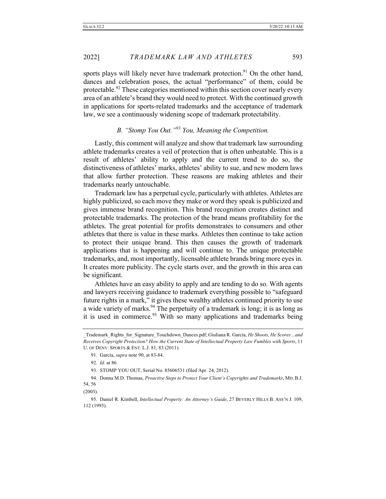sports plays will likely never have trademark protection.<sup>91</sup> On the other hand, dances and celebration poses, the actual "performance" of them, could be protectable.<sup>92</sup> These categories mentioned within this section cover nearly every area of an athlete's brand they would need to protect. With the continued growth in applications for sports-related trademarks and the acceptance of trademark law, we see a continuously widening scope of trademark protectability.

## *B. "Stomp You Out."93 You, Meaning the Competition.*

Lastly, this comment will analyze and show that trademark law surrounding athlete trademarks creates a veil of protection that is often unbeatable. This is a result of athletes' ability to apply and the current trend to do so, the distinctiveness of athletes' marks, athletes' ability to sue, and new modern laws that allow further protection. These reasons are making athletes and their trademarks nearly untouchable.

Trademark law has a perpetual cycle, particularly with athletes. Athletes are highly publicized, so each move they make or word they speak is publicized and gives immense brand recognition. This brand recognition creates distinct and protectable trademarks. The protection of the brand means profitability for the athletes. The great potential for profits demonstrates to consumers and other athletes that there is value in these marks. Athletes then continue to take action to protect their unique brand. This then causes the growth of trademark applications that is happening and will continue to. The unique protectable trademarks, and, most importantly, licensable athlete brands bring more eyes in. It creates more publicity. The cycle starts over, and the growth in this area can be significant.

Athletes have an easy ability to apply and are tending to do so. With agents and lawyers receiving guidance to trademark everything possible to "safeguard future rights in a mark," it gives these wealthy athletes continued priority to use a wide variety of marks.<sup>94</sup> The perpetuity of a trademark is long; it is as long as it is used in commerce.<sup>95</sup> With so many applications and trademarks being

\_Trademark\_Rights\_for\_Signature\_Touchdown\_Dances.pdf; Giuliana R. García, *He Shoots, He Scores…and Receives Copyright Protection? How the Current State of Intellectual Property Law Fumbles with Sports*, 11 U. OF DENV. SPORTS & ENT. L.J. 81, 83 (2011).

<sup>91.</sup> García, *supra* note 90, at 83-84.

<sup>92</sup>*. Id.* at 86.

<sup>93.</sup> STOMP YOU OUT, Serial No. 85606531 (filed Apr. 24, 2012).

<sup>94.</sup> Donna M.D. Thomas, *Proactive Steps to Protect Your Client's Copyrights and Trademarks*, MD. B.J. 54, 56

<sup>(2003).</sup>

<sup>95.</sup> Daniel R. Kimbell, *Intellectual Property: An Attorney's Guide*, 27 BEVERLY HILLS B. ASS'N J. 109, 112 (1993).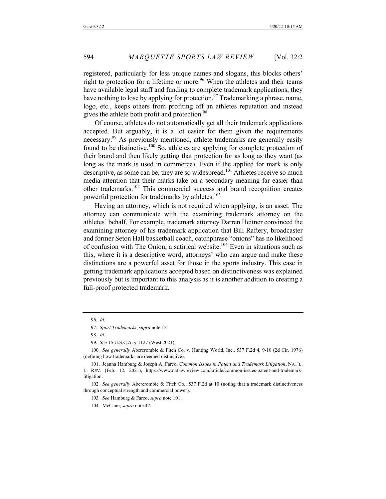registered, particularly for less unique names and slogans, this blocks others' right to protection for a lifetime or more.<sup>96</sup> When the athletes and their teams have available legal staff and funding to complete trademark applications, they have nothing to lose by applying for protection.<sup>97</sup> Trademarking a phrase, name, logo, etc., keeps others from profiting off an athletes reputation and instead gives the athlete both profit and protection.<sup>98</sup>

Of course, athletes do not automatically get all their trademark applications accepted. But arguably, it is a lot easier for them given the requirements necessary.<sup>99</sup> As previously mentioned, athlete trademarks are generally easily found to be distinctive.<sup>100</sup> So, athletes are applying for complete protection of their brand and then likely getting that protection for as long as they want (as long as the mark is used in commerce). Even if the applied for mark is only descriptive, as some can be, they are so widespread.<sup>101</sup> Athletes receive so much media attention that their marks take on a secondary meaning far easier than other trademarks.<sup>102</sup> This commercial success and brand recognition creates powerful protection for trademarks by athletes.<sup>103</sup>

Having an attorney, which is not required when applying, is an asset. The attorney can communicate with the examining trademark attorney on the athletes' behalf. For example, trademark attorney Darren Heitner convinced the examining attorney of his trademark application that Bill Raftery, broadcaster and former Seton Hall basketball coach, catchphrase "onions" has no likelihood of confusion with The Onion, a satirical website.<sup>104</sup> Even in situations such as this, where it is a descriptive word, attorneys' who can argue and make these distinctions are a powerful asset for those in the sports industry. This ease in getting trademark applications accepted based on distinctiveness was explained previously but is important to this analysis as it is another addition to creating a full-proof protected trademark.

100*. See generally* Abercrombie & Fitch Co. v. Hunting World, Inc., 537 F.2d 4, 9-10 (2d Cir. 1976) (defining how trademarks are deemed distinctive).

<sup>96</sup>*. Id.*

<sup>97</sup>*. Sport Trademarks*, *supra* note 12.

<sup>98</sup>*. Id.*

<sup>99</sup>*. See* 15 U.S.C.A. § 1127 (West 2021).

<sup>101.</sup> Jeanna Hamburg & Joseph A. Farco, *Common Issues in Patent and Trademark Litigation*, NAT'L. L. REV. (Feb. 12, 2021), https://www.natlawreview.com/article/common-issues-patent-and-trademarklitigation.

<sup>102</sup>*. See generally* Abercrombie & Fitch Co*.*, 537 F.2d at 10 (noting that a trademark distinctiveness through conceptual strength and commercial power).

<sup>103</sup>*. See* Hamburg & Farco, *supra* note 101.

<sup>104.</sup> McCann, *supra* note 47.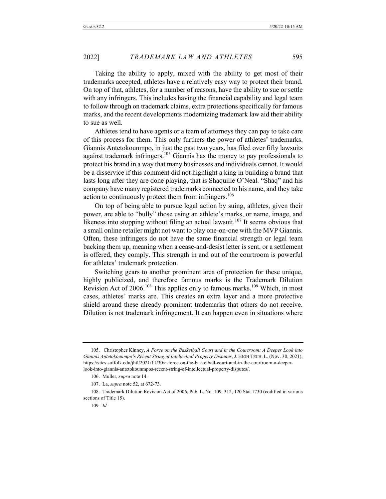Taking the ability to apply, mixed with the ability to get most of their trademarks accepted, athletes have a relatively easy way to protect their brand. On top of that, athletes, for a number of reasons, have the ability to sue or settle with any infringers. This includes having the financial capability and legal team to follow through on trademark claims, extra protections specifically for famous marks, and the recent developments modernizing trademark law aid their ability to sue as well.

Athletes tend to have agents or a team of attorneys they can pay to take care of this process for them. This only furthers the power of athletes' trademarks. Giannis Antetokounmpo, in just the past two years, has filed over fifty lawsuits against trademark infringers.<sup>105</sup> Giannis has the money to pay professionals to protect his brand in a way that many businesses and individuals cannot. It would be a disservice if this comment did not highlight a king in building a brand that lasts long after they are done playing, that is Shaquille O'Neal. "Shaq" and his company have many registered trademarks connected to his name, and they take action to continuously protect them from infringers.<sup>106</sup>

On top of being able to pursue legal action by suing, athletes, given their power, are able to "bully" those using an athlete's marks, or name, image, and likeness into stopping without filing an actual lawsuit.<sup>107</sup> It seems obvious that a small online retailer might not want to play one-on-one with the MVP Giannis. Often, these infringers do not have the same financial strength or legal team backing them up, meaning when a cease-and-desist letter is sent, or a settlement is offered, they comply. This strength in and out of the courtroom is powerful for athletes' trademark protection.

Switching gears to another prominent area of protection for these unique, highly publicized, and therefore famous marks is the Trademark Dilution Revision Act of 2006.<sup>108</sup> This applies only to famous marks.<sup>109</sup> Which, in most cases, athletes' marks are. This creates an extra layer and a more protective shield around these already prominent trademarks that others do not receive. Dilution is not trademark infringement. It can happen even in situations where

<sup>105.</sup> Christopher Kinney, *A Force on the Basketball Court and in the Courtroom: A Deeper Look into Giannis Antetokounmpo's Recent String of Intellectual Property Disputes*, J. HIGH TECH. L. (Nov. 30, 2021), https://sites.suffolk.edu/jhtl/2021/11/30/a-force-on-the-basketball-court-and-in-the-courtroom-a-deeperlook-into-giannis-antetokounmpos-recent-string-of-intellectual-property-disputes/.

<sup>106.</sup> Muller, *supra* note 14.

<sup>107.</sup> La, *supra* note 52, at 672-73.

<sup>108.</sup> Trademark Dilution Revision Act of 2006, Pub. L. No. 109–312, 120 Stat 1730 (codified in various sections of Title 15).

<sup>109</sup>*. Id.*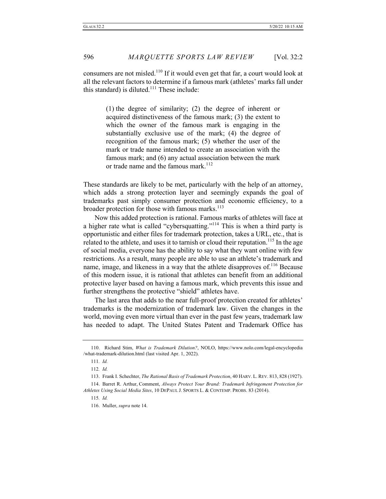consumers are not misled.<sup>110</sup> If it would even get that far, a court would look at all the relevant factors to determine if a famous mark (athletes' marks fall under this standard) is diluted.<sup>111</sup> These include:

> (1) the degree of similarity; (2) the degree of inherent or acquired distinctiveness of the famous mark; (3) the extent to which the owner of the famous mark is engaging in the substantially exclusive use of the mark; (4) the degree of recognition of the famous mark; (5) whether the user of the mark or trade name intended to create an association with the famous mark; and (6) any actual association between the mark or trade name and the famous mark.<sup>112</sup>

These standards are likely to be met, particularly with the help of an attorney, which adds a strong protection layer and seemingly expands the goal of trademarks past simply consumer protection and economic efficiency, to a broader protection for those with famous marks.<sup>113</sup>

Now this added protection is rational. Famous marks of athletes will face at a higher rate what is called "cybersquatting."<sup>114</sup> This is when a third party is opportunistic and either files for trademark protection, takes a URL, etc., that is related to the athlete, and uses it to tarnish or cloud their reputation.<sup>115</sup> In the age of social media, everyone has the ability to say what they want online with few restrictions. As a result, many people are able to use an athlete's trademark and name, image, and likeness in a way that the athlete disapproves of.<sup>116</sup> Because of this modern issue, it is rational that athletes can benefit from an additional protective layer based on having a famous mark, which prevents this issue and further strengthens the protective "shield" athletes have.

The last area that adds to the near full-proof protection created for athletes' trademarks is the modernization of trademark law. Given the changes in the world, moving even more virtual than ever in the past few years, trademark law has needed to adapt. The United States Patent and Trademark Office has

<sup>110.</sup> Richard Stim, *What is Trademark Dilution?*, NOLO, https://www.nolo.com/legal-encyclopedia /what-trademark-dilution.html (last visited Apr. 1, 2022).

<sup>111</sup>*. Id.*

<sup>112</sup>*. Id.*

<sup>113.</sup> Frank I. Schechter, *The Rational Basis of Trademark Protection*, 40 HARV. L. REV. 813, 828 (1927).

<sup>114.</sup> Barret R. Arthur, Comment, *Always Protect Your Brand: Trademark Infringement Protection for Athletes Using Social Media Sites*, 10 DEPAUL J. SPORTS L. & CONTEMP. PROBS. 83 (2014).

<sup>115</sup>*. Id.*

<sup>116.</sup> Muller, *supra* note 14.